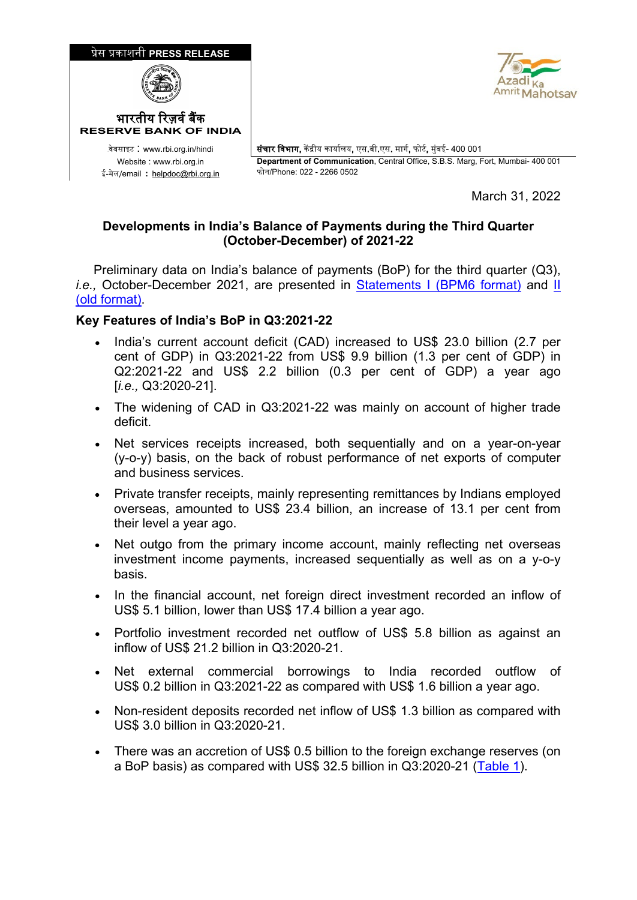

March 31, 2022

## **Developments in India's Balance of Payments during the Third Quarter (October-December) of 2021-22**

 Preliminary data on India's balance of payments (BoP) for the third quarter (Q3), *i.e.,* October-December 2021, are presented in [Statements I \(BPM6 format\)](https://rbidocs.rbi.org.in/rdocs/content/docs/BOP31032022Q3_ST1.xls) and [II](https://rbidocs.rbi.org.in/rdocs/content/docs/BOP31032022Q3_ST2.xls)  [\(old format\).](https://rbidocs.rbi.org.in/rdocs/content/docs/BOP31032022Q3_ST2.xls)

## **Key Features of India's BoP in Q3:2021-22**

- India's current account deficit (CAD) increased to US\$ 23.0 billion (2.7 per cent of GDP) in Q3:2021-22 from US\$ 9.9 billion (1.3 per cent of GDP) in Q2:2021-22 and US\$ 2.2 billion (0.3 per cent of GDP) a year ago [*i.e.,* Q3:2020-21].
- The widening of CAD in Q3:2021-22 was mainly on account of higher trade deficit.
- Net services receipts increased, both sequentially and on a year-on-year (y-o-y) basis, on the back of robust performance of net exports of computer and business services.
- Private transfer receipts, mainly representing remittances by Indians employed overseas, amounted to US\$ 23.4 billion, an increase of 13.1 per cent from their level a year ago.
- Net outgo from the primary income account, mainly reflecting net overseas investment income payments, increased sequentially as well as on a y-o-y basis.
- In the financial account, net foreign direct investment recorded an inflow of US\$ 5.1 billion, lower than US\$ 17.4 billion a year ago.
- Portfolio investment recorded net outflow of US\$ 5.8 billion as against an inflow of US\$ 21.2 billion in Q3:2020-21.
- Net external commercial borrowings to India recorded outflow of US\$ 0.2 billion in Q3:2021-22 as compared with US\$ 1.6 billion a year ago.
- Non-resident deposits recorded net inflow of US\$ 1.3 billion as compared with US\$ 3.0 billion in Q3:2020-21.
- There was an accretion of US\$ 0.5 billion to the foreign exchange reserves (on a BoP basis) as compared with US\$ 32.5 billion in Q3:2020-21 [\(Table 1\)](#page-1-0).